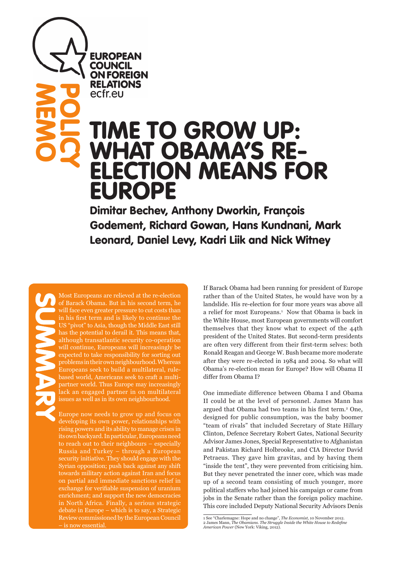**EUROPEAN COUNCIL ON FOREIGN RELATIONS** ecfr.eu

# TIME TO GROW UP: WHAT OBAMA'S RE-ELECTION MEANS FOR EUROPE

Dimitar Bechev, Anthony Dworkin, François Godement, Richard Gowan, Hans Kundnani, Mark Leonard, Daniel Levy, Kadri Liik and Nick Witney

**SUMMARY** 

**MEMO** 

**POLICY** 

Most Europeans are relieved at the re-election of Barack Obama. But in his second term, he will face even greater pressure to cut costs than in his first term and is likely to continue the US "pivot" to Asia, though the Middle East still has the potential to derail it. This means that, although transatlantic security co-operation will continue, Europeans will increasingly be expected to take responsibility for sorting out problems in their own neighbourhood. Whereas Europeans seek to build a multilateral, rulebased world, Americans seek to craft a multipartner world. Thus Europe may increasingly lack an engaged partner in on multilateral issues as well as in its own neighbourhood.

Europe now needs to grow up and focus on developing its own power, relationships with rising powers and its ability to manage crises in its own backyard. In particular, Europeans need to reach out to their neighbours – especially Russia and Turkey – through a European security initiative. They should engage with the Syrian opposition; push back against any shift towards military action against Iran and focus on partial and immediate sanctions relief in exchange for verifiable suspension of uranium enrichment; and support the new democracies in North Africa. Finally, a serious strategic debate in Europe – which is to say, a Strategic Review commissioned by the European Council – is now essential.

If Barack Obama had been running for president of Europe rather than of the United States, he would have won by a landslide. His re-election for four more years was above all a relief for most Europeans.<sup>1</sup> Now that Obama is back in the White House, most European governments will comfort themselves that they know what to expect of the 44th president of the United States. But second-term presidents are often very different from their first-term selves: both Ronald Reagan and George W. Bush became more moderate after they were re-elected in 1984 and 2004. So what will Obama's re-election mean for Europe? How will Obama II differ from Obama I?

One immediate difference between Obama I and Obama II could be at the level of personnel. James Mann has argued that Obama had two teams in his first term.<sup>2</sup> One, designed for public consumption, was the baby boomer "team of rivals" that included Secretary of State Hillary Clinton, Defence Secretary Robert Gates, National Security Advisor James Jones, Special Representative to Afghanistan and Pakistan Richard Holbrooke, and CIA Director David Petraeus. They gave him gravitas, and by having them "inside the tent", they were prevented from criticising him. But they never penetrated the inner core, which was made up of a second team consisting of much younger, more political staffers who had joined his campaign or came from jobs in the Senate rather than the foreign policy machine. This core included Deputy National Security Advisors Denis

<sup>1</sup> See "Charlemagne: Hope and no change", *The Economist*, 10 November 2012. 2 James Mann, *The Obamians. The Struggle Inside the White House to Redefine American Power* (New York: Viking, 2012).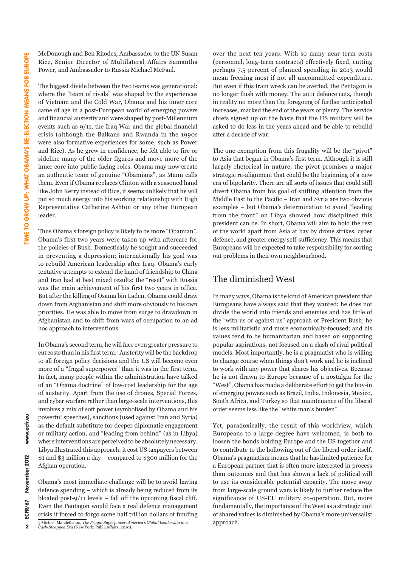McDonough and Ben Rhodes, Ambassador to the UN Susan Rice, Senior Director of Multilateral Affairs Samantha Power, and Ambassador to Russia Michael McFaul.

The biggest divide between the two teams was generational: where the "team of rivals" was shaped by the experiences of Vietnam and the Cold War, Obama and his inner core came of age in a post-European world of emerging powers and financial austerity and were shaped by post-Millennium events such as 9/11, the Iraq War and the global financial crisis (although the Balkans and Rwanda in the 1990s were also formative experiences for some, such as Power and Rice). As he grew in confidence, he felt able to fire or sideline many of the older figures and move more of the inner core into public-facing roles. Obama may now create an authentic team of genuine "Obamians", as Mann calls them. Even if Obama replaces Clinton with a seasoned hand like John Kerry instead of Rice, it seems unlikely that he will put so much energy into his working relationship with High Representative Catherine Ashton or any other European leader.

Thus Obama's foreign policy is likely to be more "Obamian". Obama's first two years were taken up with aftercare for the policies of Bush. Domestically he sought and succeeded in preventing a depression; internationally his goal was to rebuild American leadership after Iraq. Obama's early tentative attempts to extend the hand of friendship to China and Iran had at best mixed results; the "reset" with Russia was the main achievement of his first two years in office. But after the killing of Osama bin Laden, Obama could draw down from Afghanistan and shift more obviously to his own priorities. He was able to move from surge to drawdown in Afghanistan and to shift from wars of occupation to an ad hoc approach to interventions.

In Obama's second term, he will face even greater pressure to cut costs than in his first term.3 Austerity will be the backdrop to all foreign policy decisions and the US will become even more of a "frugal superpower" than it was in the first term. In fact, many people within the administration have talked of an "Obama doctrine" of low-cost leadership for the age of austerity. Apart from the use of drones, Special Forces, and cyber warfare rather than large-scale interventions, this involves a mix of soft power (symbolised by Obama and his powerful speeches), sanctions (used against Iran and Syria) as the default substitute for deeper diplomatic engagement or military action, and "leading from behind" (as in Libya) where interventions are perceived to be absolutely necessary. Libya illustrated this approach: it cost US taxpayers between \$1 and \$3 million a day – compared to \$300 million for the Afghan operation.

Obama's most immediate challenge will be to avoid having defence spending – which is already being reduced from its bloated post- $9/11$  levels – fall off the upcoming fiscal cliff. Even the Pentagon would face a real defence management crisis if forced to forgo some half trillion dollars of funding 3 Michael Mandelbaum, *The Frugal Superpower. America's Global Leadership in a Cash-Strapped Era* (New York: PublicAffairs, 2010).

over the next ten years. With so many near-term costs (personnel, long-term contracts) effectively fixed, cutting perhaps 7.5 percent of planned spending in 2013 would mean freezing most if not all uncommitted expenditure. But even if this train wreck can be averted, the Pentagon is no longer flush with money. The 2011 defence cuts, though in reality no more than the foregoing of further anticipated increases, marked the end of the years of plenty. The service chiefs signed up on the basis that the US military will be asked to do less in the years ahead and be able to rebuild after a decade of war.

The one exemption from this frugality will be the "pivot" to Asia that began in Obama's first term. Although it is still largely rhetorical in nature, the pivot promises a major strategic re-alignment that could be the beginning of a new era of bipolarity. There are all sorts of issues that could still divert Obama from his goal of shifting attention from the Middle East to the Pacific – Iran and Syria are two obvious examples – but Obama's determination to avoid "leading from the front" on Libya showed how disciplined this president can be. In short, Obama will aim to hold the rest of the world apart from Asia at bay by drone strikes, cyber defence, and greater energy self-sufficiency. This means that Europeans will be expected to take responsibility for sorting out problems in their own neighbourhood.

## The diminished West

In many ways, Obama is the kind of American president that Europeans have always said that they wanted: he does not divide the world into friends and enemies and has little of the "with us or against us" approach of President Bush; he is less militaristic and more economically-focused; and his values tend to be humanitarian and based on supporting popular aspirations, not focused on a clash of rival political models. Most importantly, he is a pragmatist who is willing to change course when things don't work and he is inclined to work with any power that shares his objectives. Because he is not drawn to Europe because of a nostalgia for the "West", Obama has made a deliberate effort to get the buy-in of emerging powers such as Brazil, India, Indonesia, Mexico, South Africa, and Turkey so that maintenance of the liberal order seems less like the "white man's burden".

Yet, paradoxically, the result of this worldview, which Europeans to a large degree have welcomed, is both to loosen the bonds holding Europe and the US together and to contribute to the hollowing out of the liberal order itself. Obama's pragmatism means that he has limited patience for a European partner that is often more interested in process than outcomes and that has shown a lack of political will to use its considerable potential capacity. The move away from large-scale ground wars is likely to further reduce the significance of US-EU military co-operation. But, more fundamentally, the importance of the West as a strategic unit of shared values is diminished by Obama's more universalist approach.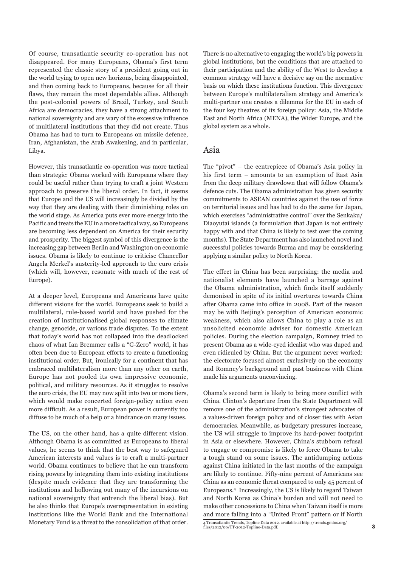Of course, transatlantic security co-operation has not disappeared. For many Europeans, Obama's first term represented the classic story of a president going out in the world trying to open new horizons, being disappointed, and then coming back to Europeans, because for all their flaws, they remain the most dependable allies. Although the post-colonial powers of Brazil, Turkey, and South Africa are democracies, they have a strong attachment to national sovereignty and are wary of the excessive influence of multilateral institutions that they did not create. Thus Obama has had to turn to Europeans on missile defence, Iran, Afghanistan, the Arab Awakening, and in particular, Libya.

However, this transatlantic co-operation was more tactical than strategic: Obama worked with Europeans where they could be useful rather than trying to craft a joint Western approach to preserve the liberal order. In fact, it seems that Europe and the US will increasingly be divided by the way that they are dealing with their diminishing roles on the world stage. As America puts ever more energy into the Pacific and treats the EU in a more tactical way, so Europeans are becoming less dependent on America for their security and prosperity. The biggest symbol of this divergence is the increasing gap between Berlin and Washington on economic issues. Obama is likely to continue to criticise Chancellor Angela Merkel's austerity-led approach to the euro crisis (which will, however, resonate with much of the rest of Europe).

At a deeper level, Europeans and Americans have quite different visions for the world. Europeans seek to build a multilateral, rule-based world and have pushed for the creation of institutionalised global responses to climate change, genocide, or various trade disputes. To the extent that today's world has not collapsed into the deadlocked chaos of what Ian Bremmer calls a "G-Zero" world, it has often been due to European efforts to create a functioning institutional order. But, ironically for a continent that has embraced multilateralism more than any other on earth, Europe has not pooled its own impressive economic, political, and military resources. As it struggles to resolve the euro crisis, the EU may now split into two or more tiers, which would make concerted foreign-policy action even more difficult. As a result, European power is currently too diffuse to be much of a help or a hindrance on many issues.

The US, on the other hand, has a quite different vision. Although Obama is as committed as Europeans to liberal values, he seems to think that the best way to safeguard American interests and values is to craft a multi-partner world. Obama continues to believe that he can transform rising powers by integrating them into existing institutions (despite much evidence that they are transforming the institutions and hollowing out many of the incursions on national sovereignty that entrench the liberal bias). But he also thinks that Europe's overrepresentation in existing institutions like the World Bank and the International Monetary Fund is a threat to the consolidation of that order. There is no alternative to engaging the world's big powers in global institutions, but the conditions that are attached to their participation and the ability of the West to develop a common strategy will have a decisive say on the normative basis on which these institutions function. This divergence between Europe's multilateralism strategy and America's multi-partner one creates a dilemma for the EU in each of the four key theatres of its foreign policy: Asia, the Middle East and North Africa (MENA), the Wider Europe, and the global system as a whole.

#### Asia

The "pivot" – the centrepiece of Obama's Asia policy in his first term – amounts to an exemption of East Asia from the deep military drawdown that will follow Obama's defence cuts. The Obama administration has given security commitments to ASEAN countries against the use of force on territorial issues and has had to do the same for Japan, which exercises "administrative control" over the Senkaku/ Diaoyutai islands (a formulation that Japan is not entirely happy with and that China is likely to test over the coming months). The State Department has also launched novel and successful policies towards Burma and may be considering applying a similar policy to North Korea.

The effect in China has been surprising: the media and nationalist elements have launched a barrage against the Obama administration, which finds itself suddenly demonised in spite of its initial overtures towards China after Obama came into office in 2008. Part of the reason may be with Beijing's perception of American economic weakness, which also allows China to play a role as an unsolicited economic adviser for domestic American policies. During the election campaign, Romney tried to present Obama as a wide-eyed idealist who was duped and even ridiculed by China. But the argument never worked: the electorate focused almost exclusively on the economy and Romney's background and past business with China made his arguments unconvincing.

Obama's second term is likely to bring more conflict with China. Clinton's departure from the State Department will remove one of the administration's strongest advocates of a values-driven foreign policy and of closer ties with Asian democracies. Meanwhile, as budgetary pressures increase, the US will struggle to improve its hard-power footprint in Asia or elsewhere. However, China's stubborn refusal to engage or compromise is likely to force Obama to take a tough stand on some issues. The antidumping actions against China initiated in the last months of the campaign are likely to continue. Fifty-nine percent of Americans see China as an economic threat compared to only 45 percent of Europeans.4 Increasingly, the US is likely to regard Taiwan and North Korea as China's burden and will not need to make other concessions to China when Taiwan itself is more and more falling into a "United Front" pattern or if North 4 Transatlantic Trends, Topline Data 2012, available at http://trends.gmfus.org/ files/2012/09/TT-2012-Topline-Data.pdf.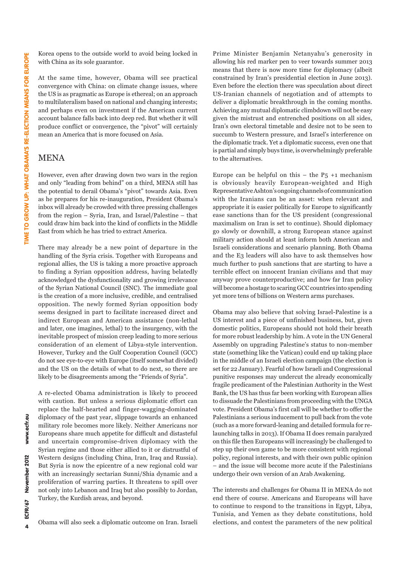Korea opens to the outside world to avoid being locked in with China as its sole guarantor.

At the same time, however, Obama will see practical convergence with China: on climate change issues, where the US is as pragmatic as Europe is ethereal; on an approach to multilateralism based on national and changing interests; and perhaps even on investment if the American current account balance falls back into deep red. But whether it will produce conflict or convergence, the "pivot" will certainly mean an America that is more focused on Asia.

# MENA

However, even after drawing down two wars in the region and only "leading from behind" on a third, MENA still has the potential to derail Obama's "pivot" towards Asia. Even as he prepares for his re-inauguration, President Obama's inbox will already be crowded with three pressing challenges from the region – Syria, Iran, and Israel/Palestine – that could draw him back into the kind of conflicts in the Middle East from which he has tried to extract America.

There may already be a new point of departure in the handling of the Syria crisis. Together with Europeans and regional allies, the US is taking a more proactive approach to finding a Syrian opposition address, having belatedly acknowledged the dysfunctionality and growing irrelevance of the Syrian National Council (SNC). The immediate goal is the creation of a more inclusive, credible, and centralised opposition. The newly formed Syrian opposition body seems designed in part to facilitate increased direct and indirect European and American assistance (non-lethal and later, one imagines, lethal) to the insurgency, with the inevitable prospect of mission creep leading to more serious consideration of an element of Libya-style intervention. However, Turkey and the Gulf Cooperation Council (GCC) do not see eye-to-eye with Europe (itself somewhat divided) and the US on the details of what to do next, so there are likely to be disagreements among the "Friends of Syria".

A re-elected Obama administration is likely to proceed with caution. But unless a serious diplomatic effort can replace the half-hearted and finger-wagging-dominated diplomacy of the past year, slippage towards an enhanced military role becomes more likely. Neither Americans nor Europeans share much appetite for difficult and distasteful and uncertain compromise-driven diplomacy with the Syrian regime and those either allied to it or distrustful of Western designs (including China, Iran, Iraq and Russia). But Syria is now the epicentre of a new regional cold war with an increasingly sectarian Sunni/Shia dynamic and a proliferation of warring parties. It threatens to spill over not only into Lebanon and Iraq but also possibly to Jordan, Turkey, the Kurdish areas, and beyond.

Obama will also seek a diplomatic outcome on Iran. Israeli

Prime Minister Benjamin Netanyahu's generosity in allowing his red marker pen to veer towards summer 2013 means that there is now more time for diplomacy (albeit constrained by Iran's presidential election in June 2013). Even before the election there was speculation about direct US-Iranian channels of negotiation and of attempts to deliver a diplomatic breakthrough in the coming months. Achieving any mutual diplomatic climbdown will not be easy given the mistrust and entrenched positions on all sides, Iran's own electoral timetable and desire not to be seen to succumb to Western pressure, and Israel's interference on the diplomatic track. Yet a diplomatic success, even one that is partial and simply buys time, is overwhelmingly preferable to the alternatives.

Europe can be helpful on this – the  $P_5$  +1 mechanism is obviously heavily European-weighted and High Representative Ashton's ongoing channels of communication with the Iranians can be an asset: when relevant and appropriate it is easier politically for Europe to significantly ease sanctions than for the US president (congressional maximalism on Iran is set to continue). Should diplomacy go slowly or downhill, a strong European stance against military action should at least inform both American and Israeli considerations and scenario planning. Both Obama and the E3 leaders will also have to ask themselves how much further to push sanctions that are starting to have a terrible effect on innocent Iranian civilians and that may anyway prove counterproductive; and how far Iran policy will become a hostage to scaring GCC countries into spending yet more tens of billions on Western arms purchases.

Obama may also believe that solving Israel-Palestine is a US interest and a piece of unfinished business, but, given domestic politics, Europeans should not hold their breath for more robust leadership by him. A vote in the UN General Assembly on upgrading Palestine's status to non-member state (something like the Vatican) could end up taking place in the middle of an Israeli election campaign (the election is set for 22 January). Fearful of how Israeli and Congressional punitive responses may undercut the already economically fragile predicament of the Palestinian Authority in the West Bank, the US has thus far been working with European allies to dissuade the Palestinians from proceeding with the UNGA vote. President Obama's first call will be whether to offer the Palestinians a serious inducement to pull back from the vote (such as a more forward-leaning and detailed formula for relaunching talks in 2013). If Obama II does remain paralyzed on this file then Europeans will increasingly be challenged to step up their own game to be more consistent with regional policy, regional interests, and with their own public opinion – and the issue will become more acute if the Palestinians undergo their own version of an Arab Awakening.

The interests and challenges for Obama II in MENA do not end there of course. Americans and Europeans will have to continue to respond to the transitions in Egypt, Libya, Tunisia, and Yemen as they debate constitutions, hold elections, and contest the parameters of the new political

www.ecfr.eu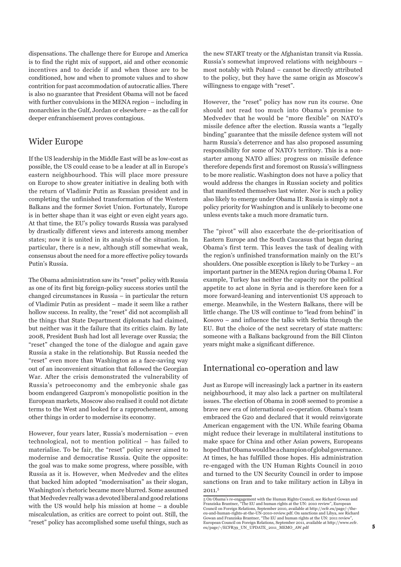dispensations. The challenge there for Europe and America is to find the right mix of support, aid and other economic incentives and to decide if and when those are to be conditioned, how and when to promote values and to show contrition for past accommodation of autocratic allies. There is also no guarantee that President Obama will not be faced with further convulsions in the MENA region – including in monarchies in the Gulf, Jordan or elsewhere – as the call for deeper enfranchisement proves contagious.

### Wider Europe

If the US leadership in the Middle East will be as low-cost as possible, the US could cease to be a leader at all in Europe's eastern neighbourhood. This will place more pressure on Europe to show greater initiative in dealing both with the return of Vladimir Putin as Russian president and in completing the unfinished transformation of the Western Balkans and the former Soviet Union. Fortunately, Europe is in better shape than it was eight or even eight years ago. At that time, the EU's policy towards Russia was paralysed by drastically different views and interests among member states; now it is united in its analysis of the situation. In particular, there is a new, although still somewhat weak, consensus about the need for a more effective policy towards Putin's Russia.

The Obama administration saw its "reset" policy with Russia as one of its first big foreign-policy success stories until the changed circumstances in Russia – in particular the return of Vladimir Putin as president – made it seem like a rather hollow success. In reality, the "reset" did not accomplish all the things that State Department diplomats had claimed, but neither was it the failure that its critics claim. By late 2008, President Bush had lost all leverage over Russia; the "reset" changed the tone of the dialogue and again gave Russia a stake in the relationship. But Russia needed the "reset" even more than Washington as a face-saving way out of an inconvenient situation that followed the Georgian War. After the crisis demonstrated the vulnerability of Russia's petroeconomy and the embryonic shale gas boom endangered Gazprom's monopolistic position in the European markets, Moscow also realised it could not dictate terms to the West and looked for a rapprochement, among other things in order to modernise its economy.

However, four years later, Russia's modernisation – even technological, not to mention political – has failed to materialise. To be fair, the "reset" policy never aimed to modernise and democratise Russia. Quite the opposite: the goal was to make some progress, where possible, with Russia as it is. However, when Medvedev and the elites that backed him adopted "modernisation" as their slogan, Washington's rhetoric became more blurred. Some assumed that Medvedev really was a devoted liberal and good relations with the US would help his mission at home – a double miscalculation, as critics are correct to point out. Still, the "reset" policy has accomplished some useful things, such as the new START treaty or the Afghanistan transit via Russia. Russia's somewhat improved relations with neighbours – most notably with Poland – cannot be directly attributed to the policy, but they have the same origin as Moscow's willingness to engage with "reset".

However, the "reset" policy has now run its course. One should not read too much into Obama's promise to Medvedev that he would be "more flexible" on NATO's missile defence after the election. Russia wants a "legally binding" guarantee that the missile defence system will not harm Russia's deterrence and has also proposed assuming responsibility for some of NATO's territory. This is a nonstarter among NATO allies: progress on missile defence therefore depends first and foremost on Russia's willingness to be more realistic. Washington does not have a policy that would address the changes in Russian society and politics that manifested themselves last winter. Nor is such a policy also likely to emerge under Obama II: Russia is simply not a policy priority for Washington and is unlikely to become one unless events take a much more dramatic turn.

The "pivot" will also exacerbate the de-prioritisation of Eastern Europe and the South Caucasus that began during Obama's first term. This leaves the task of dealing with the region's unfinished transformation mainly on the EU's shoulders. One possible exception is likely to be Turkey – an important partner in the MENA region during Obama I. For example, Turkey has neither the capacity nor the political appetite to act alone in Syria and is therefore keen for a more forward-leaning and interventionist US approach to emerge. Meanwhile, in the Western Balkans, there will be little change. The US will continue to "lead from behind" in Kosovo – and influence the talks with Serbia through the EU. But the choice of the next secretary of state matters: someone with a Balkans background from the Bill Clinton years might make a significant difference.

# International co-operation and law

Just as Europe will increasingly lack a partner in its eastern neighbourhood, it may also lack a partner on multilateral issues. The election of Obama in 2008 seemed to promise a brave new era of international co-operation. Obama's team embraced the G20 and declared that it would reinvigorate American engagement with the UN. While fearing Obama might reduce their leverage in multilateral institutions to make space for China and other Asian powers, Europeans hoped that Obama would be a champion of global governance. At times, he has fulfilled those hopes. His administration re-engaged with the UN Human Rights Council in 2010 and turned to the UN Security Council in order to impose sanctions on Iran and to take military action in Libya in 2011.5

<sup>5</sup> On Obama's re-engagement with the Human Rights Council, see Richard Gowan and Franziska Brantner, "The EU and human rights at the UN: 2010 review", European<br>Council on Foreign Relations, September 2010, available at http://ecfr.eu/page/-/the-<br>eu-and-human-rights-at-the-UN-2010-review.pdf. On sanctio Gowan and Franziska Brantner, "The EU and human rights at the UN: 2011 review", European Council on Foreign Relations, September 2011, available at http://www.ecfr. eu/page/-/ECFR39\_UN\_UPDATE\_2011\_MEMO\_AW.pdf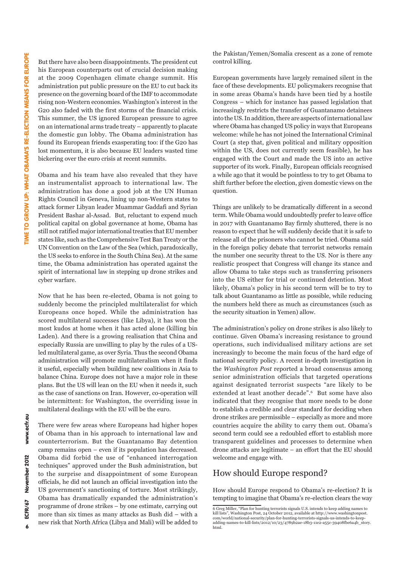But there have also been disappointments. The president cut his European counterparts out of crucial decision making at the 2009 Copenhagen climate change summit. His administration put public pressure on the EU to cut back its presence on the governing board of the IMF to accommodate rising non-Western economies. Washington's interest in the G20 also faded with the first storms of the financial crisis. This summer, the US ignored European pressure to agree on an international arms trade treaty – apparently to placate the domestic gun lobby. The Obama administration has found its European friends exasperating too: if the G20 has lost momentum, it is also because EU leaders wasted time bickering over the euro crisis at recent summits.

Obama and his team have also revealed that they have an instrumentalist approach to international law. The administration has done a good job at the UN Human Rights Council in Geneva, lining up non-Western states to attack former Libyan leader Muammar Gaddafi and Syrian President Bashar al-Assad. But, reluctant to expend much political capital on global governance at home, Obama has still not ratified major international treaties that EU member states like, such as the Comprehensive Test Ban Treaty or the UN Convention on the Law of the Sea (which, paradoxically, the US seeks to enforce in the South China Sea). At the same time, the Obama administration has operated against the spirit of international law in stepping up drone strikes and cyber warfare.

Now that he has been re-elected, Obama is not going to suddenly become the principled multilateralist for which Europeans once hoped. While the administration has scored multilateral successes (like Libya), it has won the most kudos at home when it has acted alone (killing bin Laden). And there is a growing realisation that China and especially Russia are unwilling to play by the rules of a USled multilateral game, as over Syria. Thus the second Obama administration will promote multilateralism when it finds it useful, especially when building new coalitions in Asia to balance China. Europe does not have a major role in these plans. But the US will lean on the EU when it needs it, such as the case of sanctions on Iran. However, co-operation will be intermittent: for Washington, the overriding issue in multilateral dealings with the EU will be the euro.

There were few areas where Europeans had higher hopes of Obama than in his approach to international law and counterterrorism. But the Guantanamo Bay detention camp remains open – even if its population has decreased. Obama did forbid the use of "enhanced interrogation techniques" approved under the Bush administration, but to the surprise and disappointment of some European officials, he did not launch an official investigation into the US government's sanctioning of torture. Most strikingly, Obama has dramatically expanded the administration's programme of drone strikes – by one estimate, carrying out more than six times as many attacks as Bush did – with a new risk that North Africa (Libya and Mali) will be added to the Pakistan/Yemen/Somalia crescent as a zone of remote control killing.

European governments have largely remained silent in the face of these developments. EU policymakers recognise that in some areas Obama's hands have been tied by a hostile Congress – which for instance has passed legislation that increasingly restricts the transfer of Guantanamo detainees into the US. In addition, there are aspects of international law where Obama has changed US policy in ways that Europeans welcome: while he has not joined the International Criminal Court (a step that, given political and military opposition within the US, does not currently seem feasible), he has engaged with the Court and made the US into an active supporter of its work. Finally, European officials recognised a while ago that it would be pointless to try to get Obama to shift further before the election, given domestic views on the question.

Things are unlikely to be dramatically different in a second term. While Obama would undoubtedly prefer to leave office in 2017 with Guantanamo Bay firmly shuttered, there is no reason to expect that he will suddenly decide that it is safe to release all of the prisoners who cannot be tried. Obama said in the foreign policy debate that terrorist networks remain the number one security threat to the US. Nor is there any realistic prospect that Congress will change its stance and allow Obama to take steps such as transferring prisoners into the US either for trial or continued detention. Most likely, Obama's policy in his second term will be to try to talk about Guantanamo as little as possible, while reducing the numbers held there as much as circumstances (such as the security situation in Yemen) allow.

The administration's policy on drone strikes is also likely to continue. Given Obama's increasing resistance to ground operations, such individualised military actions are set increasingly to become the main focus of the hard edge of national security policy. A recent in-depth investigation in the *Washington Post* reported a broad consensus among senior administration officials that targeted operations against designated terrorist suspects "are likely to be extended at least another decade".6 But some have also indicated that they recognise that more needs to be done to establish a credible and clear standard for deciding when drone strikes are permissible – especially as more and more countries acquire the ability to carry them out. Obama's second term could see a redoubled effort to establish more transparent guidelines and processes to determine when drone attacks are legitimate – an effort that the EU should welcome and engage with.

## How should Europe respond?

How should Europe respond to Obama's re-election? It is tempting to imagine that Obama's re-election clears the way

www.ecfr.eu

November 2012

<sup>6</sup> Greg Miller, "Plan for hunting terrorists signals U.S. intends to keep adding names to kill lists", Washington Post, 24 October 2012, available at http://www.washingtonpost. com/world/national-security/plan-for-hunting-terrorists-signals-us-intends-to-keepadding-names-to-kill-lists/2012/10/23/4789b2ae-18b3-11e2-a55c-39408fbe6a4b\_story. html.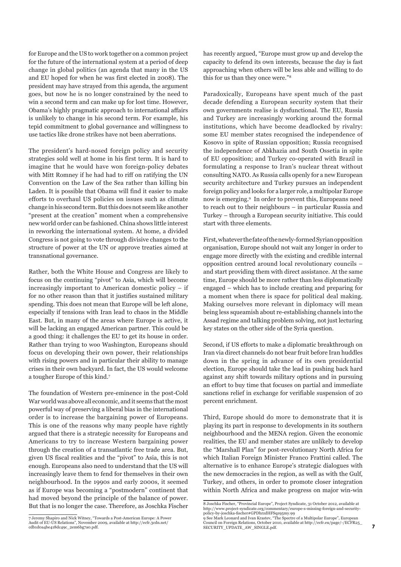for Europe and the US to work together on a common project for the future of the international system at a period of deep change in global politics (an agenda that many in the US and EU hoped for when he was first elected in 2008). The president may have strayed from this agenda, the argument goes, but now he is no longer constrained by the need to win a second term and can make up for lost time. However, Obama's highly pragmatic approach to international affairs is unlikely to change in his second term. For example, his tepid commitment to global governance and willingness to use tactics like drone strikes have not been aberrations.

The president's hard-nosed foreign policy and security strategies sold well at home in his first term. It is hard to imagine that he would have won foreign-policy debates with Mitt Romney if he had had to riff on ratifying the UN Convention on the Law of the Sea rather than killing bin Laden. It is possible that Obama will find it easier to make efforts to overhaul US policies on issues such as climate change in his second term. But this does not seem like another "present at the creation" moment when a comprehensive new world order can be fashioned. China shows little interest in reworking the international system. At home, a divided Congress is not going to vote through divisive changes to the structure of power at the UN or approve treaties aimed at transnational governance.

Rather, both the White House and Congress are likely to focus on the continuing "pivot" to Asia, which will become increasingly important to American domestic policy – if for no other reason than that it justifies sustained military spending. This does not mean that Europe will be left alone, especially if tensions with Iran lead to chaos in the Middle East. But, in many of the areas where Europe is active, it will be lacking an engaged American partner. This could be a good thing: it challenges the EU to get its house in order. Rather than trying to woo Washington, Europeans should focus on developing their own power, their relationships with rising powers and in particular their ability to manage crises in their own backyard. In fact, the US would welcome a tougher Europe of this kind.7

The foundation of Western pre-eminence in the post-Cold War world was above all economic, and it seems that the most powerful way of preserving a liberal bias in the international order is to increase the bargaining power of Europeans. This is one of the reasons why many people have rightly argued that there is a strategic necessity for Europeans and Americans to try to increase Western bargaining power through the creation of a transatlantic free trade area. But, given US fiscal realities and the "pivot" to Asia, this is not enough. Europeans also need to understand that the US will increasingly leave them to fend for themselves in their own neighbourhood. In the 1990s and early 2000s, it seemed as if Europe was becoming a "postmodern" continent that had moved beyond the principle of the balance of power. But that is no longer the case. Therefore, as Joschka Fischer has recently argued, "Europe must grow up and develop the capacity to defend its own interests, because the day is fast approaching when others will be less able and willing to do this for us than they once were."8

Paradoxically, Europeans have spent much of the past decade defending a European security system that their own governments realise is dysfunctional. The EU, Russia and Turkey are increasingly working around the formal institutions, which have become deadlocked by rivalry: some EU member states recognised the independence of Kosovo in spite of Russian opposition; Russia recognised the independence of Abkhazia and South Ossetia in spite of EU opposition; and Turkey co-operated with Brazil in formulating a response to Iran's nuclear threat without consulting NATO. As Russia calls openly for a new European security architecture and Turkey pursues an independent foreign policy and looks for a larger role, a multipolar Europe now is emerging.9 In order to prevent this, Europeans need to reach out to their neighbours – in particular Russia and Turkey – through a European security initiative. This could start with three elements.

First, whatever the fate of the newly-formed Syrian opposition organisation, Europe should not wait any longer in order to engage more directly with the existing and credible internal opposition centred around local revolutionary councils – and start providing them with direct assistance. At the same time, Europe should be more rather than less diplomatically engaged – which has to include creating and preparing for a moment when there is space for political deal making. Making ourselves more relevant in diplomacy will mean being less squeamish about re-establishing channels into the Assad regime and talking problem solving, not just lecturing key states on the other side of the Syria question.

Second, if US efforts to make a diplomatic breakthrough on Iran via direct channels do not bear fruit before Iran huddles down in the spring in advance of its own presidential election, Europe should take the lead in pushing back hard against any shift towards military options and in pursuing an effort to buy time that focuses on partial and immediate sanctions relief in exchange for verifiable suspension of 20 percent enrichment.

Third, Europe should do more to demonstrate that it is playing its part in response to developments in its southern neighbourhood and the MENA region. Given the economic realities, the EU and member states are unlikely to develop the "Marshall Plan" for post-revolutionary North Africa for which Italian Foreign Minister Franco Frattini called. The alternative is to enhance Europe's strategic dialogues with the new democracies in the region, as well as with the Gulf, Turkey, and others, in order to promote closer integration within North Africa and make progress on major win-win

<sup>7</sup> Jeremy Shapiro and Nick Witney, "Towards a Post-American Europe: A Power Audit of EU-US Relations", November 2009, available at http://ecfr.3cdn.net/ cdb1d0a4be418dc49c\_2em6bg7a0.pdf.

<sup>8</sup> Joschka Fischer, "Provincial Europe", Project Syndicate, 31 October 2012, available at http://www.project-syndicate.org/commentary/europe-s-missing-foreign-and-securitypolicy-by-joschka-fischer#GPDhrzdHFSqz95my.99

<sup>9</sup> See Mark Leonard and Ivan Krastev, "The Spectre of a Multipolar Europe", European Council on Foreign Relations, October 2010, available at http://ecfr.eu/page/-/ECFR25\_ SECURITY\_UPDATE\_AW\_SINGLE.pdf.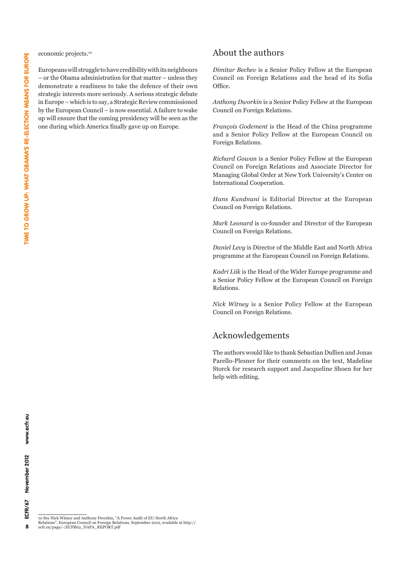economic projects.10

Europeans will struggle to have credibility with its neighbours – or the Obama administration for that matter – unless they demonstrate a readiness to take the defence of their own strategic interests more seriously. A serious strategic debate in Europe – which is to say, a Strategic Review commissioned by the European Council – is now essential. A failure to wake up will ensure that the coming presidency will be seen as the one during which America finally gave up on Europe.

#### About the authors

*Dimitar Bechev* is a Senior Policy Fellow at the European Council on Foreign Relations and the head of its Sofia Office.

*Anthony Dworkin* is a Senior Policy Fellow at the European Council on Foreign Relations.

*François Godement* is the Head of the China programme and a Senior Policy Fellow at the European Council on Foreign Relations.

*Richard Gowan* is a Senior Policy Fellow at the European Council on Foreign Relations and Associate Director for Managing Global Order at New York University's Center on International Cooperation.

*Hans Kundnani* is Editorial Director at the European Council on Foreign Relations.

*Mark Leonard* is co-founder and Director of the European Council on Foreign Relations.

*Daniel Levy* is Director of the Middle East and North Africa programme at the European Council on Foreign Relations.

*Kadri Liik* is the Head of the Wider Europe programme and a Senior Policy Fellow at the European Council on Foreign Relations.

*Nick Witney* is a Senior Policy Fellow at the European Council on Foreign Relations.

# Acknowledgements

The authors would like to thank Sebastian Dullien and Jonas Parello-Plesner for their comments on the text, Madeline Storck for research support and Jacqueline Shoen for her help with editing.

10 See Nick Witney and Anthony Dworkin, "A Power Audit of EU-North Africa Relations", European Council on Foreign Relations, September 2012, available at http:// ecfr.eu/page/-/ECFR62\_NAPA\_REPORT.pdf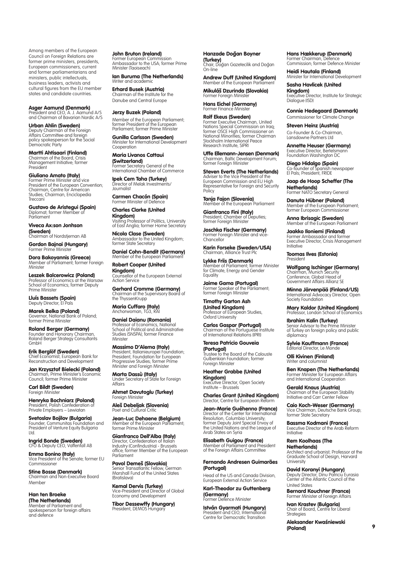Among members of the European Council on Foreign Relations are former prime ministers, presidents, European commissioners, current and former parliamentarians and ministers, public intellectuals, business leaders, activists and cultural figures from the EU member states and candidate countries.

Asger Aamund (Denmark) President and CEO, A. J. Aamund A/S and Chairman of Bavarian Nordic A/S

**Urban Ahlin (Sweden)**<br>Deputy Chairman of the Foreign Affairs Committee and foreign policy spokesperson for the Social Democratic Party

Martti Ahtisaari (Finland) Chairman of the Board, Crisis Management Initiative; former **President** 

Giuliano Amato (Italy) Former Prime Minister and vice President of the European Convention; Chairman, Centre for American Studies; Chairman, Enciclopedia Treccani

Gustavo de Aristegui (Spain) Diplomat: former Member of Parliament

Viveca Ax:son Jonhson **(Sweden)**<br>Chairman of Nordstjernan AB

Gordon Bajnai (Hungary) Former Prime Minister

**Dora Bakoyannis (Greece)**<br>Member of Parliament; former Foreign Minister

Leszek Balcerowicz (Poland) Professor of Economics at the Warsaw School of Economics; former Deputy Prime Minister

**Lluís Bassets (Spain)**<br>Deputy Director, El País

**Marek Belka (Poland)**<br>Governor, National Bank of Poland; former Prime Minister

**Roland Berger (Germany)**<br>Founder and Honorary Chairman,<br>Roland Berger Strategy Consultants GmbH

Erik Berglöf (Sweden) Chief Economist, European Bank for Reconstruction and Development

**Jan Krzysztof Bielecki (Poland)**<br>Chairman, Prime Minister's Economic<br>Council; former Prime Minister

Carl Bildt (Sweden) Foreign Minister

Henryka Bochniarz (Poland) President, Polish Confederation of Private Employers – Lewiatan

Svetoslav Bojilov (Bulgaria) Founder, Communitas Foundation and President of Venture Equity Bulgaria Ltd.

**Ingrid Bonde (Sweden)**<br>CFO & Deputy CEO, Vaffenfall AB

**Emma Bonino (Italy)**<br>Vice President of the Senate; former EU Commissioner

Stine Bosse (Denmark) Chairman and Non-Executive Board Member

Han ten Broeke (The Netherlands) Member of Parliament and spokesperson for foreign affairs and defence

**John Bruton (Ireland)**<br>Former European Commission<br>Ambassador to the USA; former Prime Minister (Taoiseach)

**Ian Buruma (The Netherlands)**<br>Writer and academic

**Erhard Busek (Austria)**<br>Chairman of the Institute for the Danube and Central Europe

Jerzy Buzek (Poland) Member of the European Parliament; former President of the European Parliament; former Prime Minister

**Gunilla Carlsson (Sweden)**<br>Minister for International Development Cooperation

Maria Livanos Cattaui **(Switzerland)**<br>Former Secretary General of the International Chamber of Commerce

Ipek Cem Taha (Turkey) Director of Melak Investments/ Journalist

**Carmen Chacón (Spain)**<br>Former Minister of Defence

Charles Clarke (United **Kingdom)**<br>Visiting Professor of Politics, University<br>of East Anglia; former Home Secretary

**Nicola Clase (Sweden)**<br>Ambassador to the United Kingdom; former State Secretary

Daniel Cohn-Bendit (Germany) Member of the European Parliament

Robert Cooper (United Kingdom) Counsellor of the European External

Action Service **Gerhard Cromme (Germany)**<br>Chairman of the Supervisory Board of the ThyssenKrupp

Maria Cuffaro (Italy) Anchorwoman, TG3, RAI

Daniel Daianu (Romania) Professor of Economics, National School of Political and Administrative Studies (SNSPA); former Finance **Minister** 

Massimo D'Alema (Italy) President, Italianieuropei Foundation; President, Foundation for European Progressive Studies; former Prime Minister and Foreign Minister

Marta Dassù (Italy) Under Secretary of State for Foreign Affairs

**Ahmet Davutoglu (Turkey)**<br>Foreign Minister

**Aleš Debeljak (Slovenia)**<br>Poet and Cultural Critic

**Jean-Luc Dehaene (Belgium)**<br>Member of the European Parliament; former Prime Minister

Gianfranco Dell'Alba (Italy) Director, Confederation of Italian Industry (Confindustria) - Brussels office; former Member of the European Parliament

**Pavol Demeš (Slovakia)**<br>Senior Transatlantic Fellow, German<br>Marshall Fund of the United States (Bratislava)

**Kemal Dervis (Turkey)**<br>Vice-President and Director of Global<br>Economy and Development

**Tibor Dessewffy (Hungary)**<br>President, DEMOS Hungary

Hanzade Doğan Boyner (Turkey) Chair, Dog˘an Gazetecilik and Dog˘an On-line

Andrew Duff (United Kingdom) Member of the European Parliament

Mikuláš Dzurinda (Slovakia) Former Foreign Ministe

Hans Eichel (Germany) Former Finance Minister

Rolf Ekeus (Sweden) Former Executive Chairman, United Nations Special Commission on Iraq; former OSCE High Commissioner on National Minorities; former Chairman Stockholm International Peace Research Institute, SIPRI

Uffe Ellemann-Jensen (Denmark) Chairman, Baltic Development Forum; former Foreign Minister

Steven Everts (The Netherlands) Adviser to the Vice President of the European Commission and EU High Representative for Foreign and Security Policy

**Tanja Fajon (Slovenia)**<br>Member of the European Parliament

**Gianfranco Fini (Italy)**<br>President, Chamber of Deputies;<br>former Foreign Minister

**Joschka Fischer (Germany)**<br>Former Foreign Minister and vice-Chancellor

Karin Forseke (Sweden/USA) Chairman, Alliance Trust Plc

Lykke Friis (Denmark) Member of Parliament; former Minister for Climate, Energy and Gender Equality

Jaime Gama (Portugal) Former Speaker of the Parliament; former Foreign Minister

Timothy Garton Ash (United Kingdom) Professor of European Studies, Oxford University

**Carlos Gaspar (Portugal)**<br>Chairman of the Portuguese Institute<br>of International Relations (IPRI)

Teresa Patricio Gouveia (Portugal) Trustee to the Board of the Calouste Gulbenkian Foundation; former Foreign Minister

Heather Grabbe (United Kingdom) Executive Director, Open Society Institute – Brussels

Charles Grant (United Kingdom) Director, Centre for European Re

Jean-Marie Guéhenno (France) Director of the Center for International Resolution, Columbia University; former Deputy Joint Special Envoy of the United Nations and the League of Arab States on Syria

**Elisabeth Guigou (France)**<br>Member of Parliament and President<br>of the Foreign Affairs Committee

Fernando Andresen Guimarães

(Portugal) Head of the US and Canada Division, European External Action Service

Karl-Theodor zu Guttenberg (Germany)

Former Defence Minister István Gyarmati (Hungary)

President and CEO, International Centre for Democratic Transition

# Hans Hækkerup (Denmark) Former Chairman, Defence

Commission; former Defence Minister

Heidi Hautala (Finland) Minister for International Development

Sasha Havlicek (United Kingdom) Executive Director, Institute for Strategic Dialogue (ISD)

Connie Hedegaard (Denmark)

Commissioner for Climate Change Steven Heinz (Austria) Co-Founder & Co-Chairman,

Lansdowne Partners Ltd

Annette Heuser (Germany) Executive Director, Bertelsmann Foundation Washington DC

Diego Hidalgo (Spain) Co-founder of Spanish newspaper El País; President, FRIDE

Jaap de Hoop Scheffer (The Netherlands) Former NATO Secretary General

Danuta Hübner (Poland) Member of the European Parliament; former European Commissioner

Anna Ibrisagic (Sweden) Member of the European Parliament

Jaakko Iloniemi (Finland) Former Ambassador and former Executive Director, Crisis Management Initiative

Toomas Ilves (Estonia) President

Wolfgang Ischinger (Germany) Chairman, Munich Security Conference; Global Head of Government Affairs Allianz SE

Minna Järvenpää (Finland/US) International Advocacy Director, Open Society Foundation

Mary Kaldor (United Kingdom) Professor, London School of Economics

Ibrahim Kalin (Turkey) Senior Advisor to the Prime Minister of Turkey on foreign policy and public diplomacy

Sylvie Kauffmann (France) itorial Director, Le Monde

**Olli Kivinen (Finland)**<br>Writer and columnist

**Ben Knapen (The Netherlands)**<br>Former Minister for European Affairs and International Cooperation

Gerald Knaus (Austria) Chairman of the European Stability Initiative and Carr Center Fellow

Caio Koch-Weser (Germany) Vice Chairman, Deutsche Bank Group; former State Secretary

Bassma Kodmani (France) Executive Director of the Arab Reform **Initiative** 

#### Rem Koolhaas (The Netherlands)

Architect and urbanist; Professor at the Graduate School of Design, Harvard University

**David Koranyi (Hungary)**<br>Deputy Director, Dinu Patriciu Eurasia Center of the Atlantic Council of the United States

 $\ddot{\mathbf{Q}}$ 

Bernard Kouchner (France) Former Minister of Foreign Affairs **Ivan Krastev (Bulgaria)**<br>Chair of Board, Centre for Liberal

Aleksander Kwaśniewski

Strategies

(Poland)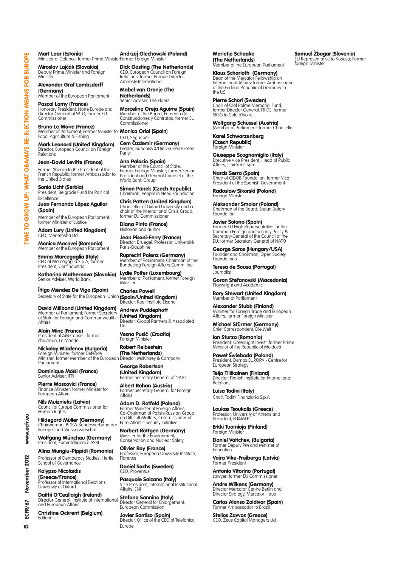Mart Laar (Estonia) Minister of Defence; former Prime Minister Andrzej Olechowski (Poland) Former Foreign Minister

**Miroslav Lajčák (Slovakia)**<br>Deputy Prime Minister and Foreign<br>Minister

Alexander Graf Lambsdorff **(Germany)**<br>Member of the European Parliament

**Pascal Lamy (France)**<br>Honorary President, Notre Europe and<br>Director-General of WTO; former EU Commissioner

Bruno Le Maire (France) Member of Parliament; Former Minister for **Monica Oriol (Spain)**<br>Food, Agriculture & Fishing CEO. Seauriber

**Mark Leonard (United Kingdom)**<br>Director, European Council on Foreign Relations

#### Jean-David Levitte (France)

Former Sherpa to the President of the French Republic; former Ambassador to the United States

**Sonia Licht (Serbia)**<br>President, Belgrade Fund for Political Excellence

Juan Fernando López Aguilar (Spain) Member of the European Parliament;

former Minister of Justice Adam Lury (United Kingdom)

CEO, Menemsha Ltd Monica Macovei (Romania)

Member ot the European Parliament

Emma Marcegaglia (Italy) CEO of Marcegaglia S.p.A; former President, Confindustria

Katharina Mathernova (Slovakia) ..........................<br>ior Adviser, World Bar

Íñigo Méndez De Vigo (Spain) Secretary of State for the European Union **(Spain/United Kingdom)** 

David Miliband (United Kingdom) Member of Parliament; Former Secretary of State for Foreign and Commonwealth Affairs

**Alain Minc (France)**<br>President of AM Conseil; former chairman, Le Monde

**Nickolay Mladenov (Bulgaria)**<br>Foreign Minister; former Defence<br>Minister; former Member of the European<br>Parliament

**Dominique Moïsi (France)**<br>Senior Adviser, IFRI

**Pierre Moscovici (France)**<br>Finance Minister; former Minister for European Affairs

Nils Muiznieks (Latvia) Council of Europe Commissioner for Human Rights

**Hildegard Müller (Germany)**<br>Chairwoman, BDEW Bundesverband der Energie- und Wasserwirtschaft

Wolfgang Münchau (Germany) President, Eurointelligence ASB

Alina Mungiu-Pippidi (Romania) Professor of Democracy Studies, Hertie School of Governance

Kalypso Nicolaïdis

**(Greece/France)**<br>Professor of International Relations, University of Oxford

**Daithi O'Ceallaigh (Ireland)**<br>Director-General, Institute of International<br>and European Affairs

Christine Ockrent (Belgium) Editorialist

**Dick Oosting (The Netherlands)**<br>CEO, European Council on Foreign<br>Relations; former Europe Director, Amnesty International

Mabel van Oranje (The Netherlands) Senior Adviser, The Elders

**Marcelino Oreja Aguirre (Spain)**<br>Member of the Board, Fomento de Construcciones y Contratas; former EU Commissioner

CEO, Seguriber Cem Özdemir (Germany)

Leader, Bündnis90/Die Grünen (Green Party)

**Ana Palacio (Spain)**<br>Member of the Council of State;<br>Former Foreign Minister; former Senior<br>President and General Counsel of the World Bank Group

Simon Panek (Czech Republic) Chairman, People in Need Foundation

Chris Patten (United Kingdom) Chancellor of Oxford University and co-chair of the International Crisis Group; former EU Commissioner

Diana Pinto (France) Historian and author

Jean Pisani-Ferry (France) Director, Bruegel; Professor, Université Paris-Dauphine

**Ruprecht Polenz (Germany)**<br>Member of Parliament; Chairman of the<br>Bundestag Foreign Affairs Committee

Lydie Polfer (Luxembourg)<br>Member of Parliament; former Foreign **Minister** 

Charles Powell  $\mathsf{\dot{r}}$ ector, Real Instituto Elcano

Andrew Puddephatt (United Kingdom) Director, Global Partners & Associated Ltd.

Vesna Pusić (Croatia) Foreign Ministe

Robert Reibestein **(The Netherlands)**<br>Director, McKinsey & Company

George Robertson **(United Kingdom)**<br>Former Secretary General of NATO

**Albert Rohan (Austria)**<br>Former Secretary General for Foreign<br>Affairs

**Adam D. Rotfeld (Poland)**<br>Former Minister of Foreign Affairs; Co-Chairman of Polish-Russian Group on Difficult Matters, Commissioner of Euro-Atlantic Security Initiative

Norbert Röttgen (Germany) Minister for the Environment Conservation and Nuclear Safety

Olivier Roy (France) Professor, European University Institute, Florence

Daniel Sachs (Sweden) CEO, Proventus

**Pasquale Salzano (Italy)**<br>Vice President, International Institutional Affairs, ENI

**Stefano Sannino (Italy)**<br>Director General for Enlargement, European Commission

Javier Santiso (Spain) Director, Office of the CEO of Telefonica Europe

Marietje Schaake (The Netherlands) Member of the European Parliament

Klaus Scharioth (Germany) Dean of the Mercator Fellowship on International Affairs; former Ambassador of the Federal Republic of Germany to the US

**Pierre Schori (Sweden)**<br>Chair of Olof Palme Memorial Fund;<br>former Director General, FRIDE; former SRSG to Cote d'Ivoire

Wolfgang Schüssel (Austria) er of Parliament; former Chancellor

Karel Schwarzenberg (Czech Republic) Foreign Ministe

Giuseppe Scognamiglio (Italy) Executive Vice President, Head of Public Affairs, UniCredit Spa

**Narcís Serra (Spain)**<br>Chair of CIDOB Foundation; former Vice President of the Spanish Government

Radosław Sikorski (Poland) Foreign Minister

Aleksander Smolar (Poland) Chairman of the Board, Stefan Batory Foundation

**Javier Solana (Spain)**<br>Former EU High Representative for the Common Foreign and Security Policy & Secretary-General of the Council of the EU; former Secretary General of NATO

George Soros (Hungary/USA) Founder and Chairman, Open Society Foundations

Teresa de Sousa (Portugal) Journalist

**Goran Stefanovski (Macedonia)**<br>Playwright and Academic

**Rory Stewart (United Kingdom)**<br>Member of Parliament

Alexander Stubb (Finland) Minister for Foreign Trade and European Affairs; former Foreign Minister

Michael Stürmer (Germany) Chief Correspondent, Die Welt

Ion Sturza (Romania) President, GreenLight Invest; former Prime Minister of the Republic of Moldova

**Paweł Świeboda (Poland)**<br>President, Demos EUROPA - Centre for<br>European Strategy

**Teija Tiilikainen (Finland)**<br>Director, Finnish Institute for International **Relations** 

Luisa Todini (Italy) Chair, Todini Finanziaria S.p.A

Loukas Tsoukalis (Greece) Professor, University of Athens and President, ELIAMEP

Erkki Tuomioja (Finland) Foreign Ministe

**Daniel Valtchev, (Bulgaria)**<br>Former Deputy PM and Minister of Education

**Vaira Vike-Freiberga (Latvia)**<br>Former President

**Antonio Vitorino (Portugal)**<br>Lawyer; former EU Commissioner

**Andre Wilkens (Germany)**<br>Director Mercator Centre Berlin and Director Strategy, Mercator Haus

Carlos Alonso Zaldívar (Spain) Former Ambassador to Brazil

Stelios Zavvos (Greece) CEO, Zeus Capital Managers Ltd

# **Samuel Zbogar (Slovenia)**<br>EU Representative to Kosovo; Former

foreign Minister

10

www.ecfr.

2012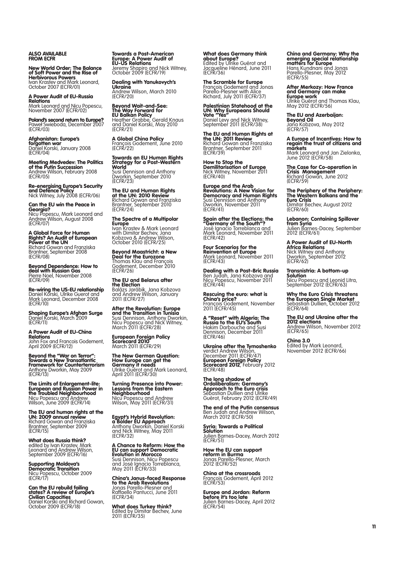ALSO AVAIL<br>FROM <mark>ECF</mark>R

New World Order: The Balance of Soft Power and the Rise of Herbivorous Powers Ivan Krastev and Mark Leonard, October 2007 (ECFR/01)

A Power Audit of EU-Russia Relations Mark Leonard and Nicu Popescu, November 2007 (ECFR/02)

**Poland's second return to Europe?**<br>Paweł Swieboda, December 2007<br>(ECFR/03)

**Afghanistan: Europe's**<br>**forgotten war**<br><u>Daniel Ko</u>rski, January 2008 (ECFR/04)

**Meeting Medvedev: The Politics<br><b>of the Putin Succession**<br>Andrew Wilson, February 2008<br>(ECFR/05)

**Re-energising Europe's Security<br><b>and Defence Policy**<br>Nick Witney, July 2008 (ECFR/06)

Can the EU win the Peace in **Georgia?**<br>Nicu Popescu, Mark Leonard and<br><u>Andrew W</u>ilson, August 2008 (ECFR/07)

A Global Force for Human Rights? An Audit of European Power at the UN Richard Gowan and Franziska Brantner, September 2008 (ECFR/08)

Beyond Dependence: How to deal with Russian Gas Pierre Noel, November 2008 (ECFR/09)

**Re-wiring the US-EU relationship**<br>Daniel Korski, Ulrike Guerot and<br><u>Mark Le</u>onard, December 2008 (ECFR/10)

**Shaping Europe's Afghan Surge**<br>Daniel Korski, March 2009<br>(ECFR/11)

Power Audit of EU-China A Power A<br>Relations John Fox and Francois Godement, April 2009 (ECFR/12)

Beyond the "War on Terror": Towards a New Transatlantic Framework for Counterterrorism Anthony Dworkin, May 2009 (ECFR/13)

The Limits of Enlargement-lite: **European and Russian Power in<br><b>the Troubled Neighbourhood**<br>Nicu Popescu and Andrew<br>Wilson, June 2009 (ECFR/14)

The EU and human rights at the **UN: 2009 annual review**<br>Richard Gowan and Franziska<br>Brantner, September 2009<br>(ECFR/15)

What does Russia think? edited by Ivan Krastev, Mark Leonard and Andrew Wilson, September 2009 (ECFR/16)

Supporting Moldova's Democratic Transition Nicu Popescu, October 2009 (ECFR/17)

**Can the EU rebuild failing<br>states? A review of Europe's<br>Civilian Capacities<br>Daniel Korski and Richard Gowan,<br>October 2009 (ECFR/18)** 

Towards a Post-American Europe: A Power Audit of EU-US Relations

Jeremy Shapiro and Nick Witney, October 2009 (ECFR/19)

**Dealing with Yanukovych's<br><b>Ukraine**<br><u>Andrew Wilson, March 2010</u> (ECFR/20)

Beyond Wait-and-See: **The Way Forward for<br>EU Balkan Policy**<br>Heather Grabbe, Gerald Knaus and Daniel Korski, May 2010 (ECFR/21)

**A Global China Policy**<br>François Godement, June 2010<br>(ECFR/22)

Towards an EU Human Rights Strategy for a Post-Western **World** 

Susi Dennison and Anthony Dworkin, September 2010 (ECFR/23)

The EU and Human Rights at the UN: 2010 Review Richard Gowan and Franziska Brantner, September 2010 (ECFR/24)

The Spectre of a Multipolar **Europe**<br>Ivan Krastev & Mark Leonard with Dimitar Bechev, Jana Kobzova & Andrew Wilson, October 2010 (ECFR/25)

Beyond Maastricht: a New Deal for the Eurozone Thomas Klau and François Godement, December 2010 (ECFR/26)

**The EU and Belarus after<br>the Election**<br>Balázs Jarábik, Jana Kobzova<br>and Andrew Wilson, January<br>2011 (ECFR/27)

**After the Revolution: Europe<br>and the Transition in Tunisia<br>Susi Dennison, Anthony Dworkin,<br>Nicu Popescu and Nick Witney,<br>March 2011 (ECFR/28)** 

**European Foreign Policy<br><b>Scorecard 2010**<br>March 2011 (ECFR/29)

The New German Question: **How Europe can get the<br><b>Germany it needs**<br>Ulrike Guérot and Mark Leonard,<br>April 2011 (ECFR/30)

Turning Presence into Power: **Lessons from the Eastern<br><b>Neighbourhood**<br>Nicu Popescu and Andrew<br>Wilson, May 2011 (ECFR/31)

**Egypt's Hybrid Revolution:<br>a Bolder EU Approach**<br>Anthony Dworkin, Daniel Korski<br>and Nick Witney, May 2011<br>(ECFR/32)

A Chance to Reform: How the EU can support Democratic Evolution in Morocco Susi Dennison, Nicu Popescu and José Ignacio Torreblanca, May 2011 (ECFR/33)

**China's Janus-faced Response<br>to the Arab Revolutions<br>Jonas Parello-Plesner and<br>Raffaello Pantucci, June 2011<br>(ECFR/34)** 

**What does Turkey think?**<br>Edited by Dimitar Bechev, June<br>2011 (ECFR/35)

**What does Germany think<br>about Europe?**<br>Edited by Ulrike Guérot and<br>Jacqueline Hénard, June 2011<br>(ECFR/36)

**The Scramble for Europe**<br>François Godement and Jonas<br>Parello-Plesner with Alice<br>Richard, July 2011 (ECFR/37)

Palestinian Statehood at the UN: Why Europeans Should Vote "Yes" Daniel Levy and Nick Witney, September 2011 (ECFR/38)

The EU and Human Rights at **the UN: 2011 Review**<br>Richard Gowan and Franziska<br>Brantner, September 2011<br>(ECFR/39)

**How to Stop the<br>Demilitarisation of Europe**<br>Nick Witney, November 2011<br>(ECFR/40)

Europe and the Arab<br>Revolutions: A New Vision for<br>Democracy and Human Rights<br>Susi Dennison and Anthony<br>Dworkin, November 2011 (ECFR/41)

**Spain after the Elections: the<br>"Germany of the South"?**<br>José Ignacio Torreblanca and Mark Leonard, November 2011 (ECFR/42)

**Four Scenarios for the<br><b>Reinvention of Europe**<br><u>Mark</u> Leonard, November 2011 (ECFR/43)

**Dealing with a Post-Bric Russia**<br>Ben Judah, Jana Kobzova and<br>Nicu Popescu, November 2011<br>(ECFR/44)

**Rescuing the euro: what is<br><b>China's price?**<br>François Godement, November<br>2011 (ECFR/45)

**A "Reset" with Algeria: The<br><b>Russia to the EU's South**<br>Hakim Darbouche and Susi Dennison, December 2011 (ECFR/46)

Ukraine after the Tymoshenko verdict Andrew Wilson,<br>December 2011 (ECFR/47)<br>**Scorecard 2012**, February<br>**Scorecard 2012**, February 2012<br>(ECFR/48)

The long shadow of Ordoliberalism: Germany's **Approach to the Euro crisis**<br>Sebastian Dullien and Ulrike<br>Guérot, February 2012 (ECFR/49)

**The end of the Putin consensus**<br>Ben Judah and Andrew Wilson,<br>March 2012 (ECFR/50)

Syria: Towards a Political **Solution**<br>Julien Barnes-Dacey, March 2012<br>(ECFR/51)

**How the EU can support<br><b>reform in Burma**<br>Jonas Parello-Plesner, March<br>2012 (ECFR/52)

**China at the crossroads**<br>François Godement, April 2012<br>(ECFR/53)

Europe and Jordan: Reform before it's too late

Julien Barnes-Dacey, April 2012 (ECFR/54)

China and Germany: Why the emerging special relationship matters for Europe Hans Kundnani and Jonas Parello-Plesner, May 2012 (ECFR/55)

**After Merkozy: How France<br>and Germany can make<br>Europe work<br>Ulrike Guérot and Thomas Klau,<br>May 2012 (ECFR/56)** 

The EU and Azerbaijan: Beyond Oil Jana Kobzova, May 2012 (ECFR/57)

A Europe of Incentives: How to regain the trust of citizens and markets Mark Leonard and Jan Zielonka, June 2012 (ECFR/58)

The Case for Co-operation in Crisis Management Richard Gowan, June 2012 (ECFR/59)

The Periphery of the Periphery: The Western Balkans and the Euro Crisis Dimitar Bechev, August 2012 (ECFR/60)

Lebanon: Containing Spillover from Syria Julien Barnes-Dacey, September 2012 (ECFR/61)

A Power Audit of EU-North **Africa Relations**<br>Nick Witney and Anthony<br>Dworkin, September 2012<br>(ECFR/62)

Transnistria: A bottom-up **Solution** Nicu Popescu and Leonid Litra, September 2012 (ECFR/63)

Why the Euro Crisis threatens<br>the European Single Market<br>Sebastian Dullien, October 2012<br>(ECFR/64)

The EU and Ukraine after the **2012 elections**<br>Andrew Wilson, November 2012<br>(ECFR/65)

China 3.0 Edited by Mark Leonard, November 2012 (ECFR/66)